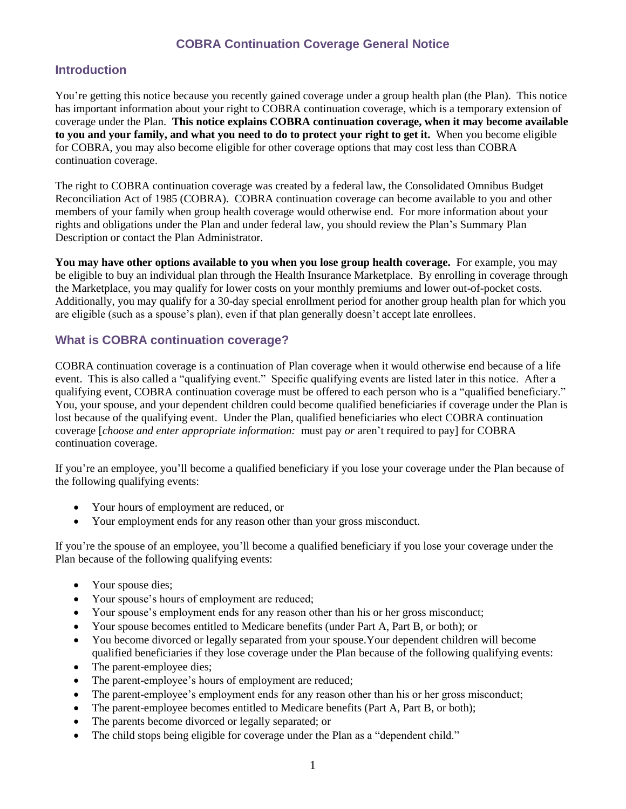# **COBRA Continuation Coverage General Notice**

## **Introduction**

You're getting this notice because you recently gained coverage under a group health plan (the Plan). This notice has important information about your right to COBRA continuation coverage, which is a temporary extension of coverage under the Plan. **This notice explains COBRA continuation coverage, when it may become available to you and your family, and what you need to do to protect your right to get it.** When you become eligible for COBRA, you may also become eligible for other coverage options that may cost less than COBRA continuation coverage.

The right to COBRA continuation coverage was created by a federal law, the Consolidated Omnibus Budget Reconciliation Act of 1985 (COBRA). COBRA continuation coverage can become available to you and other members of your family when group health coverage would otherwise end. For more information about your rights and obligations under the Plan and under federal law, you should review the Plan's Summary Plan Description or contact the Plan Administrator.

**You may have other options available to you when you lose group health coverage.** For example, you may be eligible to buy an individual plan through the Health Insurance Marketplace. By enrolling in coverage through the Marketplace, you may qualify for lower costs on your monthly premiums and lower out-of-pocket costs. Additionally, you may qualify for a 30-day special enrollment period for another group health plan for which you are eligible (such as a spouse's plan), even if that plan generally doesn't accept late enrollees.

### **What is COBRA continuation coverage?**

COBRA continuation coverage is a continuation of Plan coverage when it would otherwise end because of a life event. This is also called a "qualifying event." Specific qualifying events are listed later in this notice. After a qualifying event, COBRA continuation coverage must be offered to each person who is a "qualified beneficiary." You, your spouse, and your dependent children could become qualified beneficiaries if coverage under the Plan is lost because of the qualifying event. Under the Plan, qualified beneficiaries who elect COBRA continuation coverage [*choose and enter appropriate information:* must pay *or* aren't required to pay] for COBRA continuation coverage.

If you're an employee, you'll become a qualified beneficiary if you lose your coverage under the Plan because of the following qualifying events:

- Your hours of employment are reduced, or
- Your employment ends for any reason other than your gross misconduct.

If you're the spouse of an employee, you'll become a qualified beneficiary if you lose your coverage under the Plan because of the following qualifying events:

- Your spouse dies;
- Your spouse's hours of employment are reduced;
- Your spouse's employment ends for any reason other than his or her gross misconduct;
- Your spouse becomes entitled to Medicare benefits (under Part A, Part B, or both); or
- You become divorced or legally separated from your spouse. Your dependent children will become qualified beneficiaries if they lose coverage under the Plan because of the following qualifying events:
- The parent-employee dies;
- The parent-employee's hours of employment are reduced;
- The parent-employee's employment ends for any reason other than his or her gross misconduct;
- The parent-employee becomes entitled to Medicare benefits (Part A, Part B, or both);
- The parents become divorced or legally separated; or
- The child stops being eligible for coverage under the Plan as a "dependent child."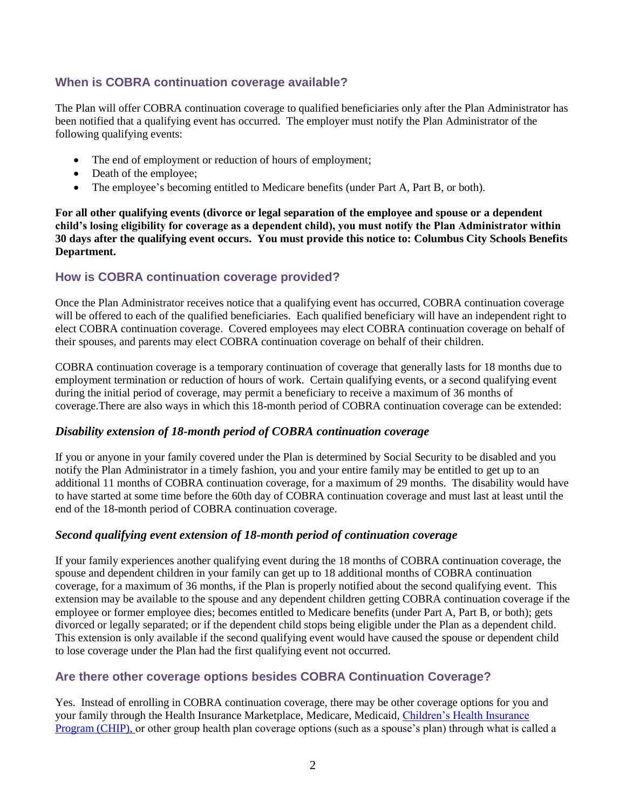# **When is COBRA continuation coverage available?**

The Plan will offer COBRA continuation coverage to qualified beneficiaries only after the Plan Administrator has been notified that a qualifying event has occurred. The employer must notify the Plan Administrator of the following qualifying events:

- The end of employment or reduction of hours of employment;
- Death of the employee;
- The employee's becoming entitled to Medicare benefits (under Part A, Part B, or both).

**For all other qualifying events (divorce or legal separation of the employee and spouse or a dependent child's losing eligibility for coverage as a dependent child), you must notify the Plan Administrator within 30 days after the qualifying event occurs. You must provide this notice to: Columbus City Schools Benefits Department.** 

### **How is COBRA continuation coverage provided?**

Once the Plan Administrator receives notice that a qualifying event has occurred, COBRA continuation coverage will be offered to each of the qualified beneficiaries. Each qualified beneficiary will have an independent right to elect COBRA continuation coverage. Covered employees may elect COBRA continuation coverage on behalf of their spouses, and parents may elect COBRA continuation coverage on behalf of their children.

COBRA continuation coverage is a temporary continuation of coverage that generally lasts for 18 months due to employment termination or reduction of hours of work. Certain qualifying events, or a second qualifying event during the initial period of coverage, may permit a beneficiary to receive a maximum of 36 months of coverage.There are also ways in which this 18-month period of COBRA continuation coverage can be extended:

#### *Disability extension of 18-month period of COBRA continuation coverage*

If you or anyone in your family covered under the Plan is determined by Social Security to be disabled and you notify the Plan Administrator in a timely fashion, you and your entire family may be entitled to get up to an additional 11 months of COBRA continuation coverage, for a maximum of 29 months. The disability would have to have started at some time before the 60th day of COBRA continuation coverage and must last at least until the end of the 18-month period of COBRA continuation coverage.

### *Second qualifying event extension of 18-month period of continuation coverage*

If your family experiences another qualifying event during the 18 months of COBRA continuation coverage, the spouse and dependent children in your family can get up to 18 additional months of COBRA continuation coverage, for a maximum of 36 months, if the Plan is properly notified about the second qualifying event. This extension may be available to the spouse and any dependent children getting COBRA continuation coverage if the employee or former employee dies; becomes entitled to Medicare benefits (under Part A, Part B, or both); gets divorced or legally separated; or if the dependent child stops being eligible under the Plan as a dependent child. This extension is only available if the second qualifying event would have caused the spouse or dependent child to lose coverage under the Plan had the first qualifying event not occurred.

### **Are there other coverage options besides COBRA Continuation Coverage?**

Yes. Instead of enrolling in COBRA continuation coverage, there may be other coverage options for you and your family through the Health Insurance Marketplace, Medicare, Medicaid[, Children's Health Insurance](https://www.healthcare.gov/are-my-children-eligible-for-chip)  [Program \(CHIP\),](https://www.healthcare.gov/are-my-children-eligible-for-chip) or other group health plan coverage options (such as a spouse's plan) through what is called a